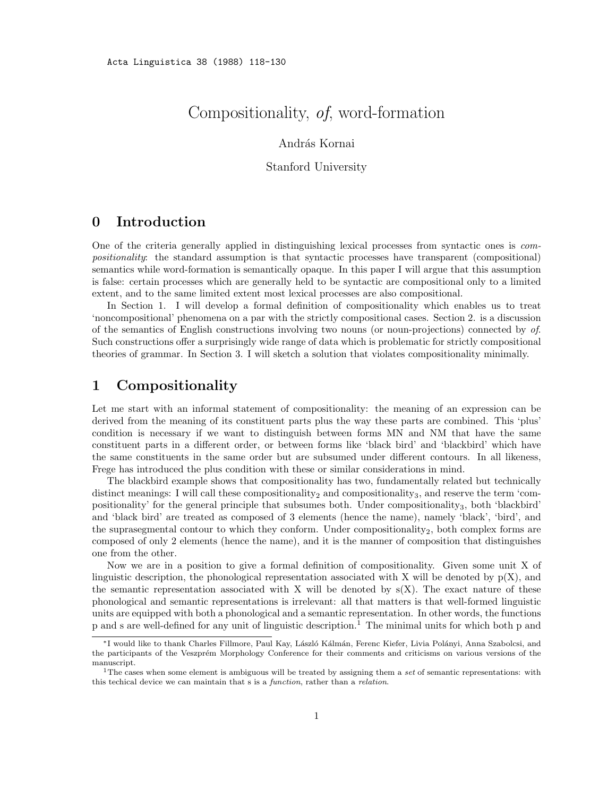# Compositionality, of, word-formation

#### András Kornai

#### Stanford University

# 0 Introduction

One of the criteria generally applied in distinguishing lexical processes from syntactic ones is compositionality: the standard assumption is that syntactic processes have transparent (compositional) semantics while word-formation is semantically opaque. In this paper I will argue that this assumption is false: certain processes which are generally held to be syntactic are compositional only to a limited extent, and to the same limited extent most lexical processes are also compositional.

In Section 1. I will develop a formal definition of compositionality which enables us to treat 'noncompositional' phenomena on a par with the strictly compositional cases. Section 2. is a discussion of the semantics of English constructions involving two nouns (or noun-projections) connected by of. Such constructions offer a surprisingly wide range of data which is problematic for strictly compositional theories of grammar. In Section 3. I will sketch a solution that violates compositionality minimally.

## 1 Compositionality

Let me start with an informal statement of compositionality: the meaning of an expression can be derived from the meaning of its constituent parts plus the way these parts are combined. This 'plus' condition is necessary if we want to distinguish between forms MN and NM that have the same constituent parts in a different order, or between forms like 'black bird' and 'blackbird' which have the same constituents in the same order but are subsumed under different contours. In all likeness, Frege has introduced the plus condition with these or similar considerations in mind.

The blackbird example shows that compositionality has two, fundamentally related but technically distinct meanings: I will call these compositionality<sub>2</sub> and compositionality<sub>3</sub>, and reserve the term 'compositionality' for the general principle that subsumes both. Under compositionality<sub>3</sub>, both 'blackbird' and 'black bird' are treated as composed of 3 elements (hence the name), namely 'black', 'bird', and the suprasegmental contour to which they conform. Under compositionality<sub>2</sub>, both complex forms are composed of only 2 elements (hence the name), and it is the manner of composition that distinguishes one from the other.

Now we are in a position to give a formal definition of compositionality. Given some unit X of linguistic description, the phonological representation associated with X will be denoted by  $p(X)$ , and the semantic representation associated with X will be denoted by  $s(X)$ . The exact nature of these phonological and semantic representations is irrelevant: all that matters is that well-formed linguistic units are equipped with both a phonological and a semantic representation. In other words, the functions p and s are well-defined for any unit of linguistic description.<sup>1</sup> The minimal units for which both p and

<sup>∗</sup>I would like to thank Charles Fillmore, Paul Kay, L´aszl´o K´alm´an, Ferenc Kiefer, Livia Pol´anyi, Anna Szabolcsi, and the participants of the Veszprém Morphology Conference for their comments and criticisms on various versions of the manuscript.

<sup>&</sup>lt;sup>1</sup>The cases when some element is ambiguous will be treated by assigning them a set of semantic representations: with this techical device we can maintain that s is a function, rather than a relation.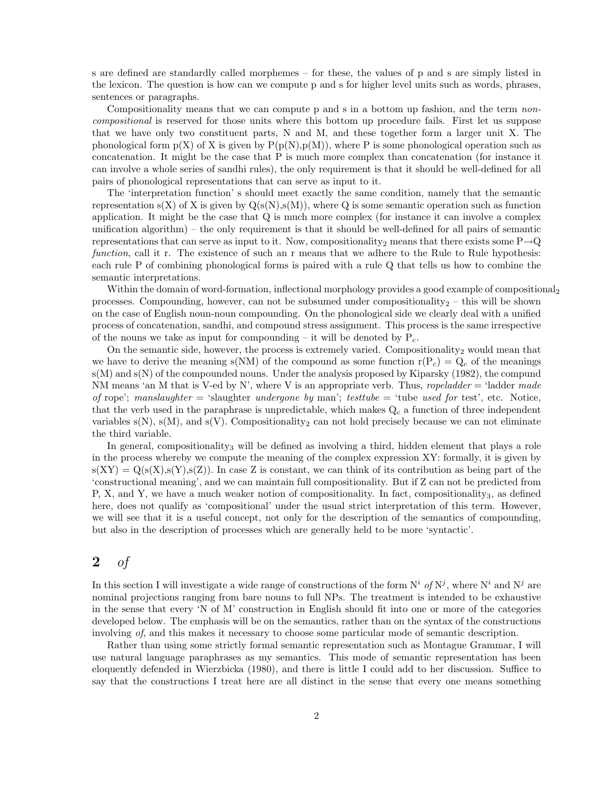s are defined are standardly called morphemes – for these, the values of p and s are simply listed in the lexicon. The question is how can we compute p and s for higher level units such as words, phrases, sentences or paragraphs.

Compositionality means that we can compute p and s in a bottom up fashion, and the term noncompositional is reserved for those units where this bottom up procedure fails. First let us suppose that we have only two constituent parts, N and M, and these together form a larger unit X. The phonological form  $p(X)$  of X is given by  $P(p(N),p(M))$ , where P is some phonological operation such as concatenation. It might be the case that P is much more complex than concatenation (for instance it can involve a whole series of sandhi rules), the only requirement is that it should be well-defined for all pairs of phonological representations that can serve as input to it.

The 'interpretation function' s should meet exactly the same condition, namely that the semantic representation  $s(X)$  of X is given by  $Q(s(N), s(M))$ , where Q is some semantic operation such as function application. It might be the case that Q is much more complex (for instance it can involve a complex unification algorithm) – the only requirement is that it should be well-defined for all pairs of semantic representations that can serve as input to it. Now, compositionality<sub>2</sub> means that there exists some P $\rightarrow Q$ function, call it r. The existence of such an r means that we adhere to the Rule to Rule hypothesis: each rule P of combining phonological forms is paired with a rule Q that tells us how to combine the semantic interpretations.

Within the domain of word-formation, inflectional morphology provides a good example of compositional<sub>2</sub> processes. Compounding, however, can not be subsumed under compositionality<sub>2</sub> – this will be shown on the case of English noun-noun compounding. On the phonological side we clearly deal with a unified process of concatenation, sandhi, and compound stress assignment. This process is the same irrespective of the nouns we take as input for compounding – it will be denoted by  $P_c$ .

On the semantic side, however, the process is extremely varied. Compositionality<sub>2</sub> would mean that we have to derive the meaning s(NM) of the compound as some function  $r(P_c) = Q_c$  of the meanings s(M) and s(N) of the compounded nouns. Under the analysis proposed by Kiparsky (1982), the compund NM means 'an M that is V-ed by N', where V is an appropriate verb. Thus, *ropeladder*  $=$  'ladder made of rope'; manslaughter = 'slaughter undergone by man'; testtube = 'tube used for test', etc. Notice, that the verb used in the paraphrase is unpredictable, which makes  $Q_c$  a function of three independent variables  $s(N)$ ,  $s(M)$ , and  $s(V)$ . Compositionality<sub>2</sub> can not hold precisely because we can not eliminate the third variable.

In general, compositionality<sub>3</sub> will be defined as involving a third, hidden element that plays a role in the process whereby we compute the meaning of the complex expression XY: formally, it is given by  $s(XY) = Q(s(X), s(Y), s(Z))$ . In case Z is constant, we can think of its contribution as being part of the 'constructional meaning', and we can maintain full compositionality. But if Z can not be predicted from P, X, and Y, we have a much weaker notion of compositionality. In fact, compositionality<sub>3</sub>, as defined here, does not qualify as 'compositional' under the usual strict interpretation of this term. However, we will see that it is a useful concept, not only for the description of the semantics of compounding, but also in the description of processes which are generally held to be more 'syntactic'.

## 2 of

In this section I will investigate a wide range of constructions of the form  $N^i$  of  $N^j$ , where  $N^i$  and  $N^j$  are nominal projections ranging from bare nouns to full NPs. The treatment is intended to be exhaustive in the sense that every 'N of M' construction in English should fit into one or more of the categories developed below. The emphasis will be on the semantics, rather than on the syntax of the constructions involving of, and this makes it necessary to choose some particular mode of semantic description.

Rather than using some strictly formal semantic representation such as Montague Grammar, I will use natural language paraphrases as my semantics. This mode of semantic representation has been eloquently defended in Wierzbicka (1980), and there is little I could add to her discussion. Suffice to say that the constructions I treat here are all distinct in the sense that every one means something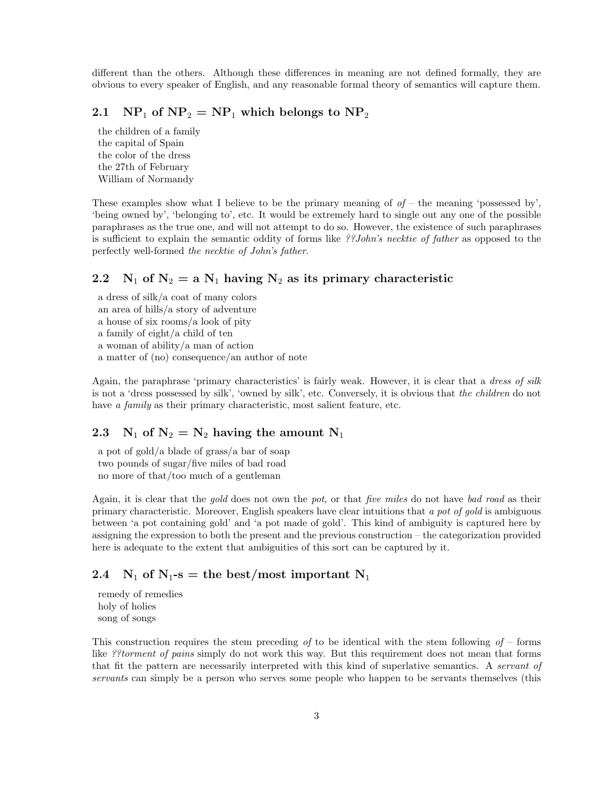different than the others. Although these differences in meaning are not defined formally, they are obvious to every speaker of English, and any reasonable formal theory of semantics will capture them.

#### 2.1  $\mathbf{NP}_1$  of  $\mathbf{NP}_2 = \mathbf{NP}_1$  which belongs to  $\mathbf{NP}_2$

the children of a family the capital of Spain the color of the dress the 27th of February William of Normandy

These examples show what I believe to be the primary meaning of  $of$  – the meaning 'possessed by', 'being owned by', 'belonging to', etc. It would be extremely hard to single out any one of the possible paraphrases as the true one, and will not attempt to do so. However, the existence of such paraphrases is sufficient to explain the semantic oddity of forms like ??John's necktie of father as opposed to the perfectly well-formed the necktie of John's father.

## 2.2 N<sub>1</sub> of N<sub>2</sub> = a N<sub>1</sub> having N<sub>2</sub> as its primary characteristic

a dress of silk/a coat of many colors an area of hills/a story of adventure a house of six rooms/a look of pity a family of eight/a child of ten a woman of ability/a man of action a matter of (no) consequence/an author of note

Again, the paraphrase 'primary characteristics' is fairly weak. However, it is clear that a dress of silk is not a 'dress possessed by silk', 'owned by silk', etc. Conversely, it is obvious that the children do not have *a family* as their primary characteristic, most salient feature, etc.

## 2.3 N<sub>1</sub> of  $N_2 = N_2$  having the amount N<sub>1</sub>

a pot of gold/a blade of grass/a bar of soap two pounds of sugar/five miles of bad road no more of that/too much of a gentleman

Again, it is clear that the gold does not own the pot, or that five miles do not have bad road as their primary characteristic. Moreover, English speakers have clear intuitions that a pot of gold is ambiguous between 'a pot containing gold' and 'a pot made of gold'. This kind of ambiguity is captured here by assigning the expression to both the present and the previous construction – the categorization provided here is adequate to the extent that ambiguities of this sort can be captured by it.

#### 2.4  $N_1$  of  $N_1$ -s = the best/most important  $N_1$

remedy of remedies holy of holies song of songs

This construction requires the stem preceding of to be identical with the stem following of – forms like ??torment of pains simply do not work this way. But this requirement does not mean that forms that fit the pattern are necessarily interpreted with this kind of superlative semantics. A servant of servants can simply be a person who serves some people who happen to be servants themselves (this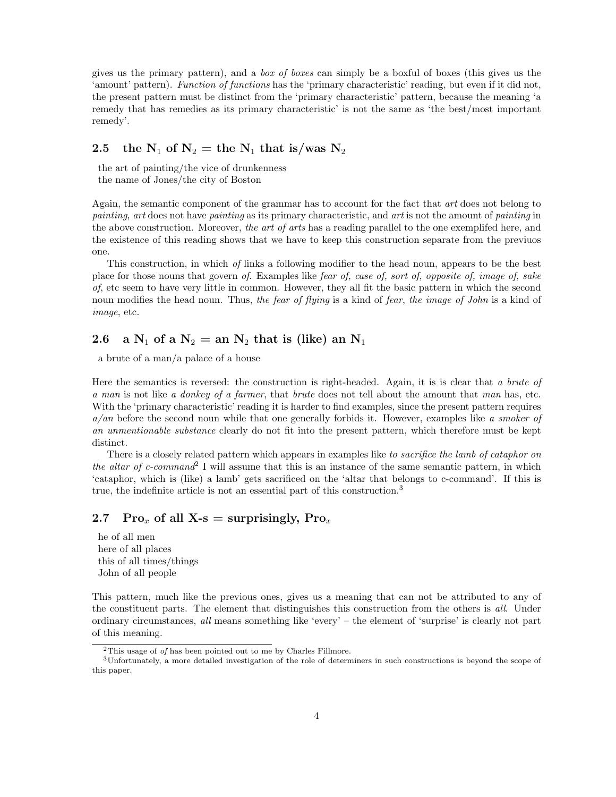gives us the primary pattern), and a box of boxes can simply be a boxful of boxes (this gives us the 'amount' pattern). Function of functions has the 'primary characteristic' reading, but even if it did not, the present pattern must be distinct from the 'primary characteristic' pattern, because the meaning 'a remedy that has remedies as its primary characteristic' is not the same as 'the best/most important remedy'.

#### 2.5 the  $N_1$  of  $N_2$  = the  $N_1$  that is/was  $N_2$

the art of painting/the vice of drunkenness the name of Jones/the city of Boston

Again, the semantic component of the grammar has to account for the fact that art does not belong to painting, art does not have painting as its primary characteristic, and art is not the amount of painting in the above construction. Moreover, the art of arts has a reading parallel to the one exemplifed here, and the existence of this reading shows that we have to keep this construction separate from the previuos one.

This construction, in which of links a following modifier to the head noun, appears to be the best place for those nouns that govern of. Examples like fear of, case of, sort of, opposite of, image of, sake of, etc seem to have very little in common. However, they all fit the basic pattern in which the second noun modifies the head noun. Thus, the fear of flying is a kind of fear, the image of John is a kind of image, etc.

## 2.6 a  $N_1$  of a  $N_2 =$  an  $N_2$  that is (like) an  $N_1$

a brute of a man/a palace of a house

Here the semantics is reversed: the construction is right-headed. Again, it is is clear that a brute of a man is not like a donkey of a farmer, that brute does not tell about the amount that man has, etc. With the 'primary characteristic' reading it is harder to find examples, since the present pattern requires  $a/an$  before the second noun while that one generally forbids it. However, examples like a smoker of an unmentionable substance clearly do not fit into the present pattern, which therefore must be kept distinct.

There is a closely related pattern which appears in examples like to sacrifice the lamb of cataphor on the altar of c-command<sup>2</sup> I will assume that this is an instance of the same semantic pattern, in which 'cataphor, which is (like) a lamb' gets sacrificed on the 'altar that belongs to c-command'. If this is true, the indefinite article is not an essential part of this construction.<sup>3</sup>

#### 2.7 Pro<sub>x</sub> of all X-s = surprisingly, Pro<sub>x</sub>

he of all men here of all places this of all times/things John of all people

This pattern, much like the previous ones, gives us a meaning that can not be attributed to any of the constituent parts. The element that distinguishes this construction from the others is all. Under ordinary circumstances, all means something like 'every' – the element of 'surprise' is clearly not part of this meaning.

<sup>2</sup>This usage of of has been pointed out to me by Charles Fillmore.

<sup>3</sup>Unfortunately, a more detailed investigation of the role of determiners in such constructions is beyond the scope of this paper.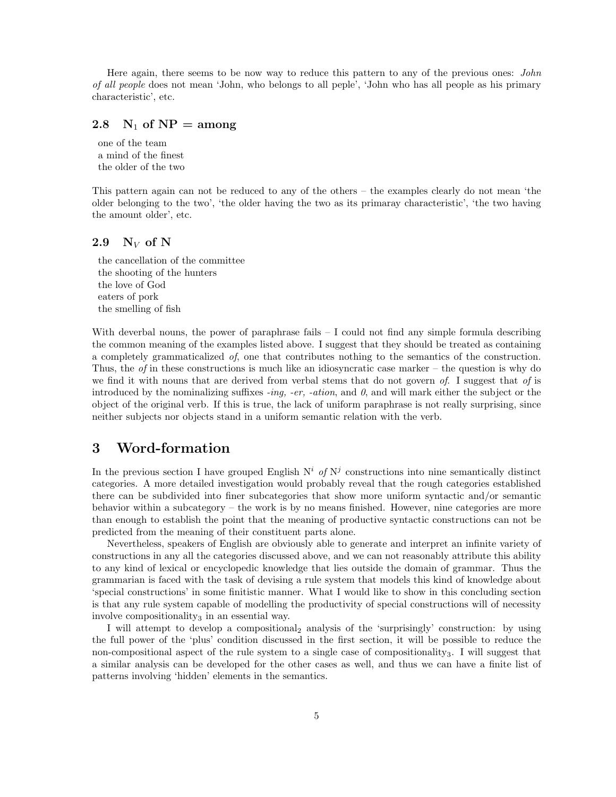Here again, there seems to be now way to reduce this pattern to any of the previous ones: *John* of all people does not mean 'John, who belongs to all peple', 'John who has all people as his primary characteristic', etc.

## 2.8  $N_1$  of  $NP = among$

one of the team a mind of the finest the older of the two

This pattern again can not be reduced to any of the others – the examples clearly do not mean 'the older belonging to the two', 'the older having the two as its primaray characteristic', 'the two having the amount older', etc.

#### 2.9  $N_V$  of N

the cancellation of the committee the shooting of the hunters the love of God eaters of pork the smelling of fish

With deverbal nouns, the power of paraphrase fails  $-$  I could not find any simple formula describing the common meaning of the examples listed above. I suggest that they should be treated as containing a completely grammaticalized of, one that contributes nothing to the semantics of the construction. Thus, the *of* in these constructions is much like an idiosyncratic case marker – the question is why do we find it with nouns that are derived from verbal stems that do not govern  $of$ . I suggest that  $of$  is introduced by the nominalizing suffixes -ing, -er, -ation, and  $\theta$ , and will mark either the subject or the object of the original verb. If this is true, the lack of uniform paraphrase is not really surprising, since neither subjects nor objects stand in a uniform semantic relation with the verb.

# 3 Word-formation

In the previous section I have grouped English  $N^i$  of  $N^j$  constructions into nine semantically distinct categories. A more detailed investigation would probably reveal that the rough categories established there can be subdivided into finer subcategories that show more uniform syntactic and/or semantic behavior within a subcategory – the work is by no means finished. However, nine categories are more than enough to establish the point that the meaning of productive syntactic constructions can not be predicted from the meaning of their constituent parts alone.

Nevertheless, speakers of English are obviously able to generate and interpret an infinite variety of constructions in any all the categories discussed above, and we can not reasonably attribute this ability to any kind of lexical or encyclopedic knowledge that lies outside the domain of grammar. Thus the grammarian is faced with the task of devising a rule system that models this kind of knowledge about 'special constructions' in some finitistic manner. What I would like to show in this concluding section is that any rule system capable of modelling the productivity of special constructions will of necessity involve compositionality<sub>3</sub> in an essential way.

I will attempt to develop a compositional<sub>2</sub> analysis of the 'surprisingly' construction: by using the full power of the 'plus' condition discussed in the first section, it will be possible to reduce the non-compositional aspect of the rule system to a single case of compositionality<sub>3</sub>. I will suggest that a similar analysis can be developed for the other cases as well, and thus we can have a finite list of patterns involving 'hidden' elements in the semantics.